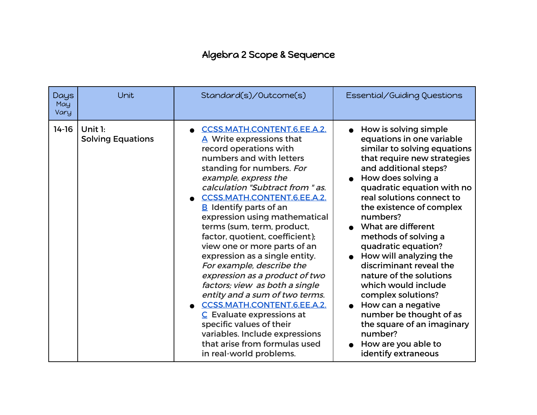## Algebra 2 Scope & Sequence

| Days<br>May<br>Vary | Unit                                   | Standard(s)/Outcome(s)                                                                                                                                                                                                                                                                                                                                                                                                                                                                                                                                                                                                                                                                                                                                                         | Essential/Guiding Questions                                                                                                                                                                                                                                                                                                                                                                                                                                                                                                                                                                                                    |
|---------------------|----------------------------------------|--------------------------------------------------------------------------------------------------------------------------------------------------------------------------------------------------------------------------------------------------------------------------------------------------------------------------------------------------------------------------------------------------------------------------------------------------------------------------------------------------------------------------------------------------------------------------------------------------------------------------------------------------------------------------------------------------------------------------------------------------------------------------------|--------------------------------------------------------------------------------------------------------------------------------------------------------------------------------------------------------------------------------------------------------------------------------------------------------------------------------------------------------------------------------------------------------------------------------------------------------------------------------------------------------------------------------------------------------------------------------------------------------------------------------|
| $14 - 16$           | Unit $1$ :<br><b>Solving Equations</b> | <b>CCSS.MATH.CONTENT.6.EE.A.2.</b><br>A Write expressions that<br>record operations with<br>numbers and with letters<br>standing for numbers. For<br>example, express the<br>calculation "Subtract from " as.<br>CCSS.MATH.CONTENT.6.EE.A.2.<br>$B$ Identify parts of an<br>expression using mathematical<br>terms (sum, term, product,<br>factor, quotient, coefficient);<br>view one or more parts of an<br>expression as a single entity.<br>For example, describe the<br>expression as a product of two<br>factors; view as both a single<br>entity and a sum of two terms.<br><b>CCSS.MATH.CONTENT.6.EE.A.2.</b><br>$C$ Evaluate expressions at<br>specific values of their<br>variables. Include expressions<br>that arise from formulas used<br>in real-world problems. | How is solving simple<br>equations in one variable<br>similar to solving equations<br>that require new strategies<br>and additional steps?<br>• How does solving a<br>quadratic equation with no<br>real solutions connect to<br>the existence of complex<br>numbers?<br>What are different<br>methods of solving a<br>quadratic equation?<br>• How will analyzing the<br>discriminant reveal the<br>nature of the solutions<br>which would include<br>complex solutions?<br>How can a negative<br>$\bullet$<br>number be thought of as<br>the square of an imaginary<br>number?<br>How are you able to<br>identify extraneous |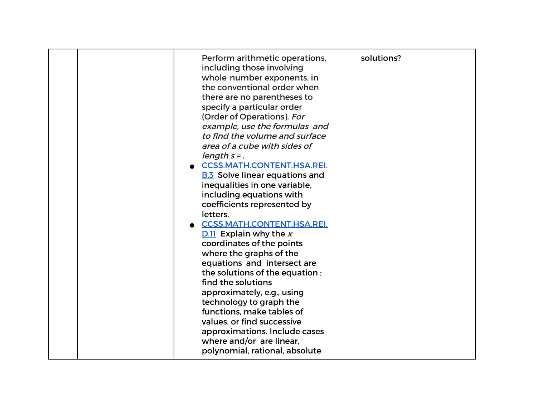|  | Perform arithmetic operations,<br>including those involving<br>whole-number exponents, in<br>the conventional order when<br>there are no parentheses to<br>specify a particular order<br>(Order of Operations). For<br>example, use the formulas and<br>to find the volume and surface<br>area of a cube with sides of<br>length $s =$ .<br><b>CCSS.MATH.CONTENT.HSA.REI.</b><br><b>B.3</b> Solve linear equations and<br>inequalities in one variable,<br>including equations with<br>coefficients represented by<br>letters.<br><b>CCSS.MATH.CONTENT.HSA.REI.</b><br>$D.11$ Explain why the x-<br>coordinates of the points<br>where the graphs of the<br>equations and intersect are<br>the solutions of the equation;<br>find the solutions<br>approximately, e.g., using<br>technology to graph the<br>functions, make tables of<br>values, or find successive<br>approximations. Include cases<br>where and/or are linear,<br>polynomial, rational, absolute | solutions? |
|--|--------------------------------------------------------------------------------------------------------------------------------------------------------------------------------------------------------------------------------------------------------------------------------------------------------------------------------------------------------------------------------------------------------------------------------------------------------------------------------------------------------------------------------------------------------------------------------------------------------------------------------------------------------------------------------------------------------------------------------------------------------------------------------------------------------------------------------------------------------------------------------------------------------------------------------------------------------------------|------------|
|--|--------------------------------------------------------------------------------------------------------------------------------------------------------------------------------------------------------------------------------------------------------------------------------------------------------------------------------------------------------------------------------------------------------------------------------------------------------------------------------------------------------------------------------------------------------------------------------------------------------------------------------------------------------------------------------------------------------------------------------------------------------------------------------------------------------------------------------------------------------------------------------------------------------------------------------------------------------------------|------------|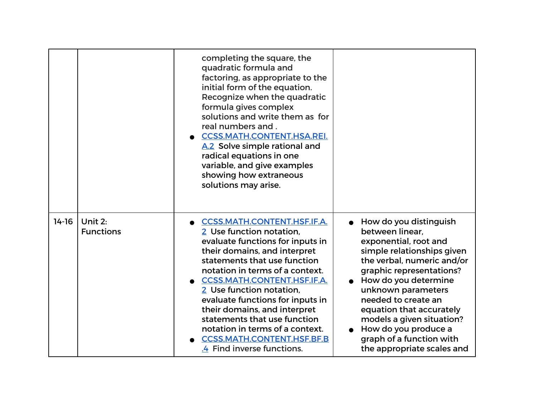|         |                             | completing the square, the<br>quadratic formula and<br>factoring, as appropriate to the<br>initial form of the equation.<br>Recognize when the quadratic<br>formula gives complex<br>solutions and write them as for<br>real numbers and.<br><b>CCSS.MATH.CONTENT.HSA.REI.</b><br>A.2 Solve simple rational and<br>radical equations in one<br>variable, and give examples<br>showing how extraneous<br>solutions may arise.                                                      |                                                                                                                                                                                                                                                                                                                                                                            |
|---------|-----------------------------|-----------------------------------------------------------------------------------------------------------------------------------------------------------------------------------------------------------------------------------------------------------------------------------------------------------------------------------------------------------------------------------------------------------------------------------------------------------------------------------|----------------------------------------------------------------------------------------------------------------------------------------------------------------------------------------------------------------------------------------------------------------------------------------------------------------------------------------------------------------------------|
| $14-16$ | Unit 2:<br><b>Functions</b> | <b>CCSS.MATH.CONTENT.HSF.IF.A.</b><br>2 Use function notation,<br>evaluate functions for inputs in<br>their domains, and interpret<br>statements that use function<br>notation in terms of a context.<br><b>CCSS.MATH.CONTENT.HSF.IF.A.</b><br>2 Use function notation,<br>evaluate functions for inputs in<br>their domains, and interpret<br>statements that use function<br>notation in terms of a context.<br><b>CCSS.MATH.CONTENT.HSF.BF.B</b><br>.4 Find inverse functions. | How do you distinguish<br>between linear,<br>exponential, root and<br>simple relationships given<br>the verbal, numeric and/or<br>graphic representations?<br>How do you determine<br>unknown parameters<br>needed to create an<br>equation that accurately<br>models a given situation?<br>How do you produce a<br>graph of a function with<br>the appropriate scales and |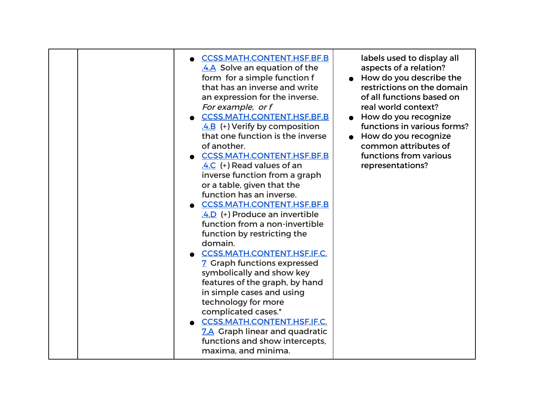| <b>CCSS.MATH.CONTENT.HSF.BF.B</b><br>.4.A Solve an equation of the<br>form for a simple function f<br>that has an inverse and write<br>an expression for the inverse.<br>For example, or f<br><b>CCSS.MATH.CONTENT.HSF.BF.B</b><br>$.4.8$ (+) Verify by composition<br>that one function is the inverse<br>of another.<br><b>CCSS.MATH.CONTENT.HSF.BF.B</b><br>.4.C (+) Read values of an<br>inverse function from a graph<br>or a table, given that the<br>function has an inverse.<br><b>CCSS.MATH.CONTENT.HSF.BF.B</b><br>4.D (+) Produce an invertible<br>function from a non-invertible<br>function by restricting the<br>domain.<br>CCSS.MATH.CONTENT.HSF.IF.C.<br>7 Graph functions expressed<br>symbolically and show key<br>features of the graph, by hand<br>in simple cases and using<br>technology for more<br>complicated cases.*<br>CCSS.MATH.CONTENT.HSF.IF.C.<br>7.A Graph linear and quadratic<br>functions and show intercepts,<br>maxima, and minima. | labels used to display all<br>aspects of a relation?<br>How do you describe the<br>restrictions on the domain<br>of all functions based on<br>real world context?<br>How do you recognize<br>functions in various forms?<br>How do you recognize<br>common attributes of<br>functions from various<br>representations? |
|--------------------------------------------------------------------------------------------------------------------------------------------------------------------------------------------------------------------------------------------------------------------------------------------------------------------------------------------------------------------------------------------------------------------------------------------------------------------------------------------------------------------------------------------------------------------------------------------------------------------------------------------------------------------------------------------------------------------------------------------------------------------------------------------------------------------------------------------------------------------------------------------------------------------------------------------------------------------------|------------------------------------------------------------------------------------------------------------------------------------------------------------------------------------------------------------------------------------------------------------------------------------------------------------------------|
|--------------------------------------------------------------------------------------------------------------------------------------------------------------------------------------------------------------------------------------------------------------------------------------------------------------------------------------------------------------------------------------------------------------------------------------------------------------------------------------------------------------------------------------------------------------------------------------------------------------------------------------------------------------------------------------------------------------------------------------------------------------------------------------------------------------------------------------------------------------------------------------------------------------------------------------------------------------------------|------------------------------------------------------------------------------------------------------------------------------------------------------------------------------------------------------------------------------------------------------------------------------------------------------------------------|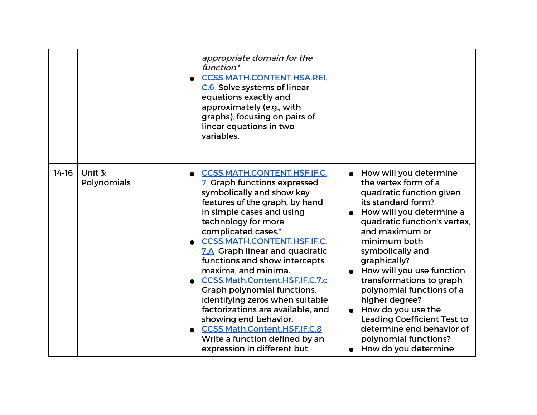|         |                        | appropriate domain for the<br>function.*<br><b>CCSS.MATH.CONTENT.HSA.REI.</b><br>C.6 Solve systems of linear<br>equations exactly and<br>approximately (e.g., with<br>graphs), focusing on pairs of<br>linear equations in two<br>variables.                                                                                                                                                                                                                                                                                                                                                                           |                                                                                                                                                                                                                                                                                                                                                                                                                                                                                                     |
|---------|------------------------|------------------------------------------------------------------------------------------------------------------------------------------------------------------------------------------------------------------------------------------------------------------------------------------------------------------------------------------------------------------------------------------------------------------------------------------------------------------------------------------------------------------------------------------------------------------------------------------------------------------------|-----------------------------------------------------------------------------------------------------------------------------------------------------------------------------------------------------------------------------------------------------------------------------------------------------------------------------------------------------------------------------------------------------------------------------------------------------------------------------------------------------|
| $14-16$ | Unit 3:<br>Polynomials | <b>CCSS.MATH.CONTENT.HSF.IF.C.</b><br>7 Graph functions expressed<br>symbolically and show key<br>features of the graph, by hand<br>in simple cases and using<br>technology for more<br>complicated cases.*<br><b>CCSS.MATH.CONTENT.HSF.IF.C.</b><br>7.A Graph linear and quadratic<br>functions and show intercepts,<br>maxima, and minima.<br>CCSS.Math.Content.HSF.IF.C.7.c<br><b>Graph polynomial functions,</b><br>identifying zeros when suitable<br>factorizations are available, and<br>showing end behavior.<br>CCSS.Math.Content.HSF.IF.C.8<br>Write a function defined by an<br>expression in different but | • How will you determine<br>the vertex form of a<br>quadratic function given<br>its standard form?<br>How will you determine a<br>quadratic function's vertex,<br>and maximum or<br>minimum both<br>symbolically and<br>graphically?<br>How will you use function<br>transformations to graph<br>polynomial functions of a<br>higher degree?<br>How do you use the<br>$\bullet$<br><b>Leading Coefficient Test to</b><br>determine end behavior of<br>polynomial functions?<br>How do you determine |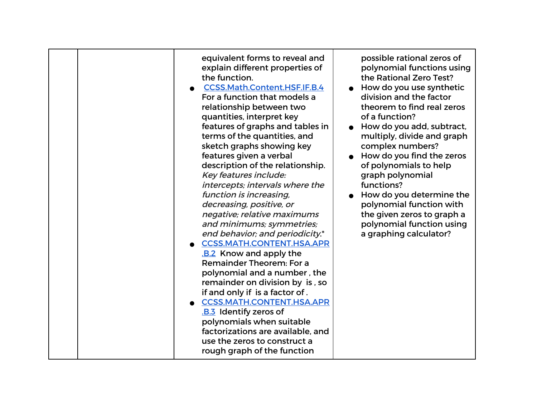| equivalent forms to reveal and<br>explain different properties of<br>the function.<br><b>CCSS.Math.Content.HSF.IF.B.4</b><br>For a function that models a<br>relationship between two<br>quantities, interpret key<br>features of graphs and tables in<br>terms of the quantities, and<br>sketch graphs showing key<br>features given a verbal<br>description of the relationship.<br>Key features include:<br>intercepts; intervals where the<br>function is increasing,<br>decreasing, positive, or<br>negative; relative maximums<br>and minimums; symmetries;<br>end behavior; and periodicity.*<br><b>CCSS.MATH.CONTENT.HSA.APR</b><br><b>B.2</b> Know and apply the<br>Remainder Theorem: For a<br>polynomial and a number, the<br>remainder on division by is, so<br>if and only if is a factor of.<br><b>CCSS.MATH.CONTENT.HSA.APR</b><br>.B.3 Identify zeros of<br>polynomials when suitable<br>factorizations are available, and<br>use the zeros to construct a<br>rough graph of the function | possible rational zeros of<br>polynomial functions using<br>the Rational Zero Test?<br>How do you use synthetic<br>division and the factor<br>theorem to find real zeros<br>of a function?<br>How do you add, subtract,<br>multiply, divide and graph<br>complex numbers?<br>How do you find the zeros<br>of polynomials to help<br>graph polynomial<br>functions?<br>How do you determine the<br>polynomial function with<br>the given zeros to graph a<br>polynomial function using<br>a graphing calculator? |
|-----------------------------------------------------------------------------------------------------------------------------------------------------------------------------------------------------------------------------------------------------------------------------------------------------------------------------------------------------------------------------------------------------------------------------------------------------------------------------------------------------------------------------------------------------------------------------------------------------------------------------------------------------------------------------------------------------------------------------------------------------------------------------------------------------------------------------------------------------------------------------------------------------------------------------------------------------------------------------------------------------------|-----------------------------------------------------------------------------------------------------------------------------------------------------------------------------------------------------------------------------------------------------------------------------------------------------------------------------------------------------------------------------------------------------------------------------------------------------------------------------------------------------------------|
|-----------------------------------------------------------------------------------------------------------------------------------------------------------------------------------------------------------------------------------------------------------------------------------------------------------------------------------------------------------------------------------------------------------------------------------------------------------------------------------------------------------------------------------------------------------------------------------------------------------------------------------------------------------------------------------------------------------------------------------------------------------------------------------------------------------------------------------------------------------------------------------------------------------------------------------------------------------------------------------------------------------|-----------------------------------------------------------------------------------------------------------------------------------------------------------------------------------------------------------------------------------------------------------------------------------------------------------------------------------------------------------------------------------------------------------------------------------------------------------------------------------------------------------------|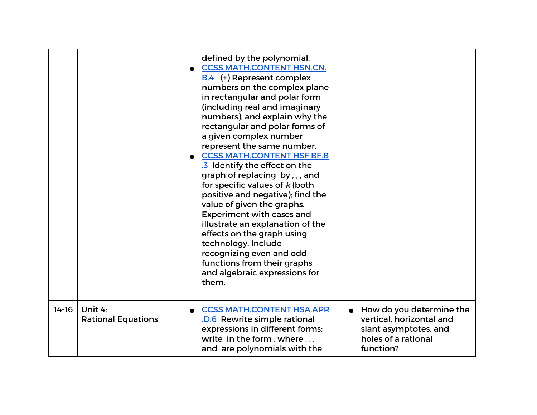|         |                                      | defined by the polynomial.<br><b>CCSS.MATH.CONTENT.HSN.CN.</b><br><b>B.4</b> (+) Represent complex<br>numbers on the complex plane<br>in rectangular and polar form<br>(including real and imaginary<br>numbers), and explain why the<br>rectangular and polar forms of<br>a given complex number<br>represent the same number.<br><b>CCSS.MATH.CONTENT.HSF.BF.B</b><br>3 Identify the effect on the<br>graph of replacing by, , , and<br>for specific values of $k$ (both<br>positive and negative); find the<br>value of given the graphs.<br><b>Experiment with cases and</b><br>illustrate an explanation of the<br>effects on the graph using<br>technology. Include<br>recognizing even and odd<br>functions from their graphs<br>and algebraic expressions for<br>them. |                                                                                                                   |
|---------|--------------------------------------|--------------------------------------------------------------------------------------------------------------------------------------------------------------------------------------------------------------------------------------------------------------------------------------------------------------------------------------------------------------------------------------------------------------------------------------------------------------------------------------------------------------------------------------------------------------------------------------------------------------------------------------------------------------------------------------------------------------------------------------------------------------------------------|-------------------------------------------------------------------------------------------------------------------|
| $14-16$ | Unit 4:<br><b>Rational Equations</b> | <b>CCSS.MATH.CONTENT.HSA.APR</b><br>.D.6 Rewrite simple rational<br>expressions in different forms;<br>write in the form, where,,,<br>and are polynomials with the                                                                                                                                                                                                                                                                                                                                                                                                                                                                                                                                                                                                             | How do you determine the<br>vertical, horizontal and<br>slant asymptotes, and<br>holes of a rational<br>function? |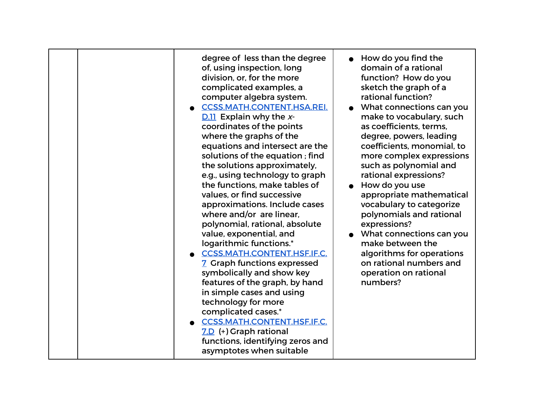| degree of less than the degree<br>of, using inspection, long<br>division, or, for the more<br>complicated examples, a<br>computer algebra system.<br><b>CCSS.MATH.CONTENT.HSA.REI.</b><br>$D.11$ Explain why the x-<br>coordinates of the points<br>where the graphs of the<br>equations and intersect are the<br>solutions of the equation; find<br>the solutions approximately,<br>e.g., using technology to graph<br>the functions, make tables of<br>values, or find successive<br>approximations. Include cases<br>where and/or are linear.<br>polynomial, rational, absolute<br>value, exponential, and<br>logarithmic functions.*<br><b>CCSS.MATH.CONTENT.HSF.IF.C.</b><br>7 Graph functions expressed<br>symbolically and show key<br>features of the graph, by hand<br>in simple cases and using<br>technology for more<br>complicated cases.*<br><b>CCSS.MATH.CONTENT.HSF.IF.C.</b><br>7.D (+) Graph rational<br>functions, identifying zeros and | $\bullet$ How do you find the<br>domain of a rational<br>function? How do you<br>sketch the graph of a<br>rational function?<br>What connections can you<br>make to vocabulary, such<br>as coefficients, terms,<br>degree, powers, leading<br>coefficients, monomial, to<br>more complex expressions<br>such as polynomial and<br>rational expressions?<br>How do you use<br>appropriate mathematical<br>vocabulary to categorize<br>polynomials and rational<br>expressions?<br>• What connections can you<br>make between the<br>algorithms for operations<br>on rational numbers and<br>operation on rational<br>numbers? |
|-------------------------------------------------------------------------------------------------------------------------------------------------------------------------------------------------------------------------------------------------------------------------------------------------------------------------------------------------------------------------------------------------------------------------------------------------------------------------------------------------------------------------------------------------------------------------------------------------------------------------------------------------------------------------------------------------------------------------------------------------------------------------------------------------------------------------------------------------------------------------------------------------------------------------------------------------------------|------------------------------------------------------------------------------------------------------------------------------------------------------------------------------------------------------------------------------------------------------------------------------------------------------------------------------------------------------------------------------------------------------------------------------------------------------------------------------------------------------------------------------------------------------------------------------------------------------------------------------|
| asymptotes when suitable                                                                                                                                                                                                                                                                                                                                                                                                                                                                                                                                                                                                                                                                                                                                                                                                                                                                                                                                    |                                                                                                                                                                                                                                                                                                                                                                                                                                                                                                                                                                                                                              |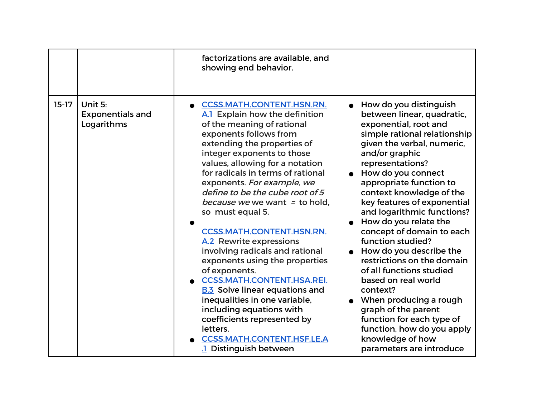|         |                                                  | factorizations are available, and<br>showing end behavior.                                                                                                                                                                                                                                                                                                                                                                                                                                                                                                                                                                                                                                                                                                                                     |                                                                                                                                                                                                                                                                                                                                                                                                                                                                                                                                                                                                                                                                                            |
|---------|--------------------------------------------------|------------------------------------------------------------------------------------------------------------------------------------------------------------------------------------------------------------------------------------------------------------------------------------------------------------------------------------------------------------------------------------------------------------------------------------------------------------------------------------------------------------------------------------------------------------------------------------------------------------------------------------------------------------------------------------------------------------------------------------------------------------------------------------------------|--------------------------------------------------------------------------------------------------------------------------------------------------------------------------------------------------------------------------------------------------------------------------------------------------------------------------------------------------------------------------------------------------------------------------------------------------------------------------------------------------------------------------------------------------------------------------------------------------------------------------------------------------------------------------------------------|
| $15-17$ | Unit 5:<br><b>Exponentials and</b><br>Logarithms | <b>CCSS.MATH.CONTENT.HSN.RN.</b><br>A.1 Explain how the definition<br>of the meaning of rational<br>exponents follows from<br>extending the properties of<br>integer exponents to those<br>values, allowing for a notation<br>for radicals in terms of rational<br>exponents. For example, we<br>define to be the cube root of 5<br>because we we want = to hold.<br>so must equal 5.<br><b>CCSS.MATH.CONTENT.HSN.RN.</b><br>A.2 Rewrite expressions<br>involving radicals and rational<br>exponents using the properties<br>of exponents.<br><b>CCSS.MATH.CONTENT.HSA.REI.</b><br><b>B.3</b> Solve linear equations and<br>inequalities in one variable,<br>including equations with<br>coefficients represented by<br>letters.<br><b>CCSS.MATH.CONTENT.HSF.LE.A</b><br>1 Distinguish between | How do you distinguish<br>between linear, quadratic,<br>exponential, root and<br>simple rational relationship<br>given the verbal, numeric,<br>and/or graphic<br>representations?<br>How do you connect<br>appropriate function to<br>context knowledge of the<br>key features of exponential<br>and logarithmic functions?<br>How do you relate the<br>concept of domain to each<br>function studied?<br>How do you describe the<br>restrictions on the domain<br>of all functions studied<br>based on real world<br>context?<br>When producing a rough<br>graph of the parent<br>function for each type of<br>function, how do you apply<br>knowledge of how<br>parameters are introduce |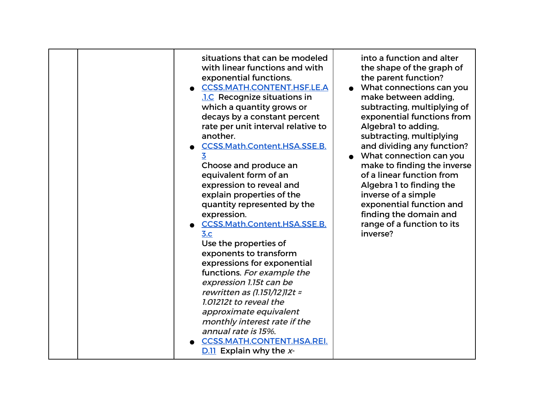|  | situations that can be modeled<br>with linear functions and with<br>exponential functions.<br><b>CCSS.MATH.CONTENT.HSF.LE.A</b><br><b>.1.C</b> Recognize situations in<br>which a quantity grows or<br>decays by a constant percent<br>rate per unit interval relative to<br>another.<br>CCSS.Math.Content.HSA.SSE.B.<br>3<br>Choose and produce an<br>equivalent form of an<br>expression to reveal and<br>explain properties of the<br>quantity represented by the<br>expression.<br><b>CCSS.Math.Content.HSA.SSE.B.</b><br>3.c<br>Use the properties of<br>exponents to transform<br>expressions for exponential<br>functions. For example the<br>expression 1.15t can be<br>rewritten as $(1.151/12)$ 12t $\approx$<br>1.01212t to reveal the<br>approximate equivalent<br>monthly interest rate if the<br>annual rate is 15%.<br><b>CCSS.MATH.CONTENT.HSA.REI.</b><br>$D.11$ Explain why the x- | into a function and alter<br>the shape of the graph of<br>the parent function?<br>What connections can you<br>make between adding,<br>subtracting, multiplying of<br>exponential functions from<br>Algebral to adding,<br>subtracting, multiplying<br>and dividing any function?<br>What connection can you<br>make to finding the inverse<br>of a linear function from<br>Algebra 1 to finding the<br>inverse of a simple<br>exponential function and<br>finding the domain and<br>range of a function to its<br>inverse? |
|--|------------------------------------------------------------------------------------------------------------------------------------------------------------------------------------------------------------------------------------------------------------------------------------------------------------------------------------------------------------------------------------------------------------------------------------------------------------------------------------------------------------------------------------------------------------------------------------------------------------------------------------------------------------------------------------------------------------------------------------------------------------------------------------------------------------------------------------------------------------------------------------------------------|----------------------------------------------------------------------------------------------------------------------------------------------------------------------------------------------------------------------------------------------------------------------------------------------------------------------------------------------------------------------------------------------------------------------------------------------------------------------------------------------------------------------------|
|--|------------------------------------------------------------------------------------------------------------------------------------------------------------------------------------------------------------------------------------------------------------------------------------------------------------------------------------------------------------------------------------------------------------------------------------------------------------------------------------------------------------------------------------------------------------------------------------------------------------------------------------------------------------------------------------------------------------------------------------------------------------------------------------------------------------------------------------------------------------------------------------------------------|----------------------------------------------------------------------------------------------------------------------------------------------------------------------------------------------------------------------------------------------------------------------------------------------------------------------------------------------------------------------------------------------------------------------------------------------------------------------------------------------------------------------------|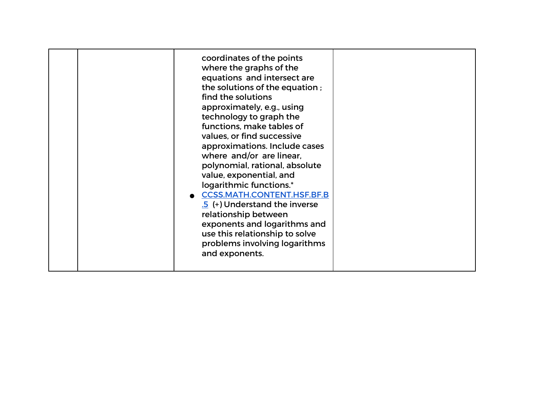|  | coordinates of the points<br>where the graphs of the<br>equations and intersect are<br>the solutions of the equation;<br>find the solutions<br>approximately, e.g., using<br>technology to graph the<br>functions, make tables of<br>values, or find successive<br>approximations. Include cases<br>where and/or are linear,<br>polynomial, rational, absolute<br>value, exponential, and<br>logarithmic functions.*<br><b>CCSS.MATH.CONTENT.HSF.BF.B</b><br>.5 (+) Understand the inverse<br>relationship between<br>exponents and logarithms and<br>use this relationship to solve<br>problems involving logarithms<br>and exponents. |  |
|--|-----------------------------------------------------------------------------------------------------------------------------------------------------------------------------------------------------------------------------------------------------------------------------------------------------------------------------------------------------------------------------------------------------------------------------------------------------------------------------------------------------------------------------------------------------------------------------------------------------------------------------------------|--|
|--|-----------------------------------------------------------------------------------------------------------------------------------------------------------------------------------------------------------------------------------------------------------------------------------------------------------------------------------------------------------------------------------------------------------------------------------------------------------------------------------------------------------------------------------------------------------------------------------------------------------------------------------------|--|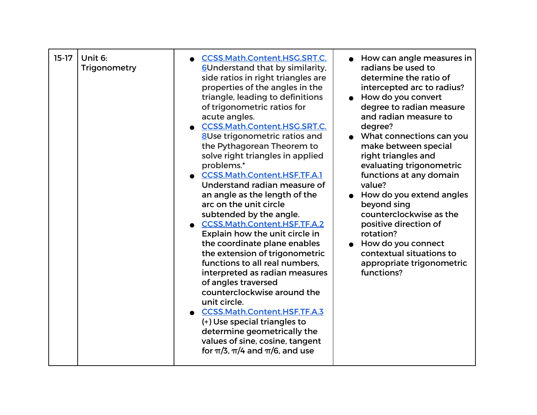| $15-17$<br>Unit 6:<br>Trigonometry | <b>CCSS.Math.Content.HSG.SRT.C.</b><br>6Understand that by similarity,<br>side ratios in right triangles are<br>properties of the angles in the<br>triangle, leading to definitions<br>of trigonometric ratios for<br>acute angles.<br><b>CCSS.Math.Content.HSG.SRT.C.</b><br>8Use trigonometric ratios and<br>the Pythagorean Theorem to<br>solve right triangles in applied<br>problems.*<br>CCSS.Math.Content.HSF.TF.A.1<br>Understand radian measure of<br>an angle as the length of the<br>arc on the unit circle<br>subtended by the angle.<br><b>CCSS.Math.Content.HSF.TF.A.2</b><br>Explain how the unit circle in<br>the coordinate plane enables<br>the extension of trigonometric<br>functions to all real numbers.<br>interpreted as radian measures<br>of angles traversed<br>counterclockwise around the<br>unit circle.<br><b>CCSS.Math.Content.HSF.TF.A.3</b><br>(+) Use special triangles to<br>determine geometrically the<br>values of sine, cosine, tangent<br>for $\pi/3$ , $\pi/4$ and $\pi/6$ , and use | How can angle measures in<br>radians be used to<br>determine the ratio of<br>intercepted arc to radius?<br>• How do you convert<br>degree to radian measure<br>and radian measure to<br>degree?<br>• What connections can you<br>make between special<br>right triangles and<br>evaluating trigonometric<br>functions at any domain<br>value?<br>How do you extend angles<br>beyond sing<br>counterclockwise as the<br>positive direction of<br>rotation?<br>How do you connect<br>contextual situations to<br>appropriate trigonometric<br>functions? |
|------------------------------------|--------------------------------------------------------------------------------------------------------------------------------------------------------------------------------------------------------------------------------------------------------------------------------------------------------------------------------------------------------------------------------------------------------------------------------------------------------------------------------------------------------------------------------------------------------------------------------------------------------------------------------------------------------------------------------------------------------------------------------------------------------------------------------------------------------------------------------------------------------------------------------------------------------------------------------------------------------------------------------------------------------------------------------|--------------------------------------------------------------------------------------------------------------------------------------------------------------------------------------------------------------------------------------------------------------------------------------------------------------------------------------------------------------------------------------------------------------------------------------------------------------------------------------------------------------------------------------------------------|
|------------------------------------|--------------------------------------------------------------------------------------------------------------------------------------------------------------------------------------------------------------------------------------------------------------------------------------------------------------------------------------------------------------------------------------------------------------------------------------------------------------------------------------------------------------------------------------------------------------------------------------------------------------------------------------------------------------------------------------------------------------------------------------------------------------------------------------------------------------------------------------------------------------------------------------------------------------------------------------------------------------------------------------------------------------------------------|--------------------------------------------------------------------------------------------------------------------------------------------------------------------------------------------------------------------------------------------------------------------------------------------------------------------------------------------------------------------------------------------------------------------------------------------------------------------------------------------------------------------------------------------------------|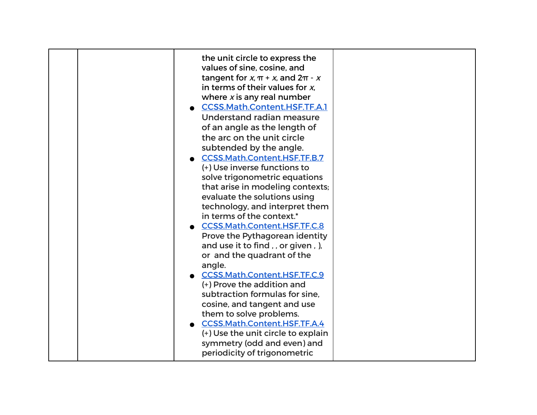| the unit circle to express the<br>values of sine, cosine, and<br>tangent for x, $\pi$ + x, and $2\pi$ - x<br>in terms of their values for $x$ ,<br>where $x$ is any real number<br><b>CCSS.Math.Content.HSF.TF.A.1</b><br>Understand radian measure<br>of an angle as the length of<br>the arc on the unit circle<br>subtended by the angle.<br><b>CCSS.Math.Content.HSF.TF.B.7</b><br>(+) Use inverse functions to<br>solve trigonometric equations<br>that arise in modeling contexts;<br>evaluate the solutions using<br>technology, and interpret them |
|------------------------------------------------------------------------------------------------------------------------------------------------------------------------------------------------------------------------------------------------------------------------------------------------------------------------------------------------------------------------------------------------------------------------------------------------------------------------------------------------------------------------------------------------------------|
| in terms of the context.*<br>CCSS.Math.Content.HSF.TF.C.8<br>Prove the Pythagorean identity<br>and use it to find,, or given, ),<br>or and the quadrant of the<br>angle.<br><b>CCSS.Math.Content.HSF.TF.C.9</b><br>(+) Prove the addition and<br>subtraction formulas for sine.<br>cosine, and tangent and use<br>them to solve problems.<br><b>CCSS.Math.Content.HSF.TF.A.4</b><br>(+) Use the unit circle to explain<br>symmetry (odd and even) and<br>periodicity of trigonometric                                                                      |